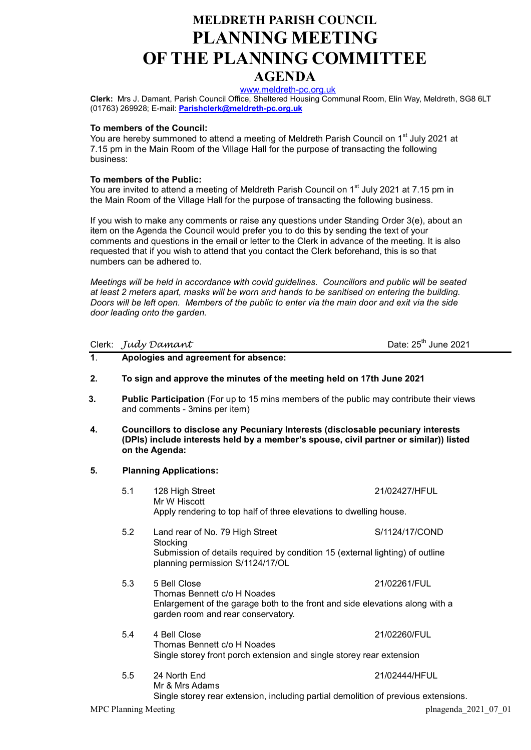# MELDRETH PARISH COUNCIL PLANNING MEETING OF THE PLANNING COMMITTEE

## AGENDA

www.meldreth-pc.org.uk

Clerk: Mrs J. Damant, Parish Council Office, Sheltered Housing Communal Room, Elin Way, Meldreth, SG8 6LT (01763) 269928; E-mail: Parishclerk@meldreth-pc.org.uk

#### To members of the Council:

You are hereby summoned to attend a meeting of Meldreth Parish Council on 1<sup>st</sup> July 2021 at 7.15 pm in the Main Room of the Village Hall for the purpose of transacting the following business:

#### To members of the Public:

You are invited to attend a meeting of Meldreth Parish Council on 1<sup>st</sup> July 2021 at 7.15 pm in the Main Room of the Village Hall for the purpose of transacting the following business.

If you wish to make any comments or raise any questions under Standing Order 3(e), about an item on the Agenda the Council would prefer you to do this by sending the text of your comments and questions in the email or letter to the Clerk in advance of the meeting. It is also requested that if you wish to attend that you contact the Clerk beforehand, this is so that numbers can be adhered to.

Meetings will be held in accordance with covid guidelines. Councillors and public will be seated at least 2 meters apart, masks will be worn and hands to be sanitised on entering the building. Doors will be left open. Members of the public to enter via the main door and exit via the side door leading onto the garden.

Clerk:  $Judy$   $Daman$   $\tau$   $Dain$   $Date$ :  $25<sup>th</sup>$  June 2021

- 1. Apologies and agreement for absence:
- 2. To sign and approve the minutes of the meeting held on 17th June 2021
- 3. Public Participation (For up to 15 mins members of the public may contribute their views and comments - 3mins per item)
- 4. Councillors to disclose any Pecuniary Interests (disclosable pecuniary interests (DPIs) include interests held by a member's spouse, civil partner or similar)) listed on the Agenda:
- 5. Planning Applications:
	- 5.1 128 High Street 21/02427/HFUL Mr W Hiscott Apply rendering to top half of three elevations to dwelling house. 5.2 Land rear of No. 79 High Street S/1124/17/COND **Stocking** Submission of details required by condition 15 (external lighting) of outline planning permission S/1124/17/OL 5.3 5 Bell Close 21/02261/FUL Thomas Bennett c/o H Noades Enlargement of the garage both to the front and side elevations along with a garden room and rear conservatory. 5.4 4 Bell Close 21/02260/FUL Thomas Bennett c/o H Noades Single storey front porch extension and single storey rear extension 5.5 24 North End 21/02444/HFUL Mr & Mrs Adams Single storey rear extension, including partial demolition of previous extensions.